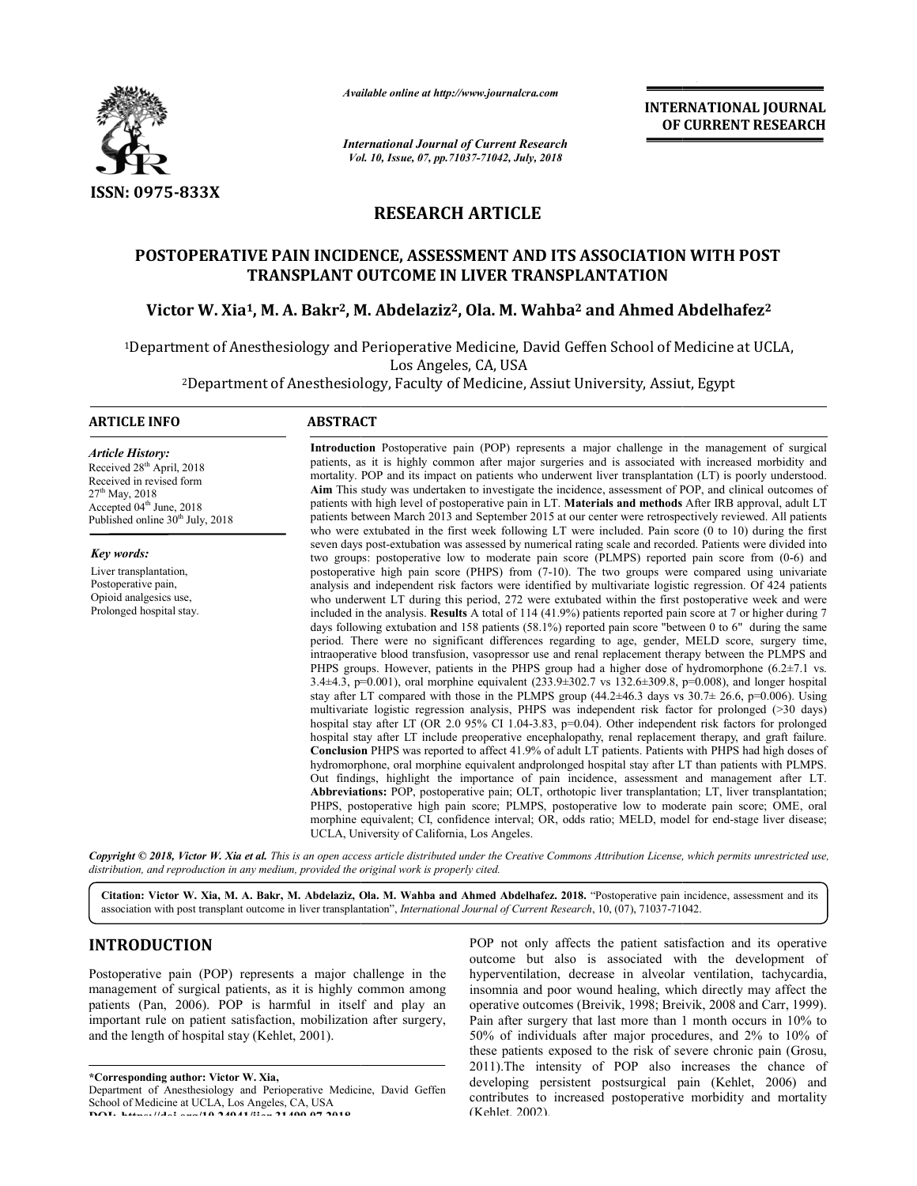

*Available online at http://www.journalcra.com*

*International Journal of Current Research Vol. 10, Issue, 07, Vol. pp.71037-71042, July, 2018*

**INTERNATIONAL JOURNAL OF CURRENT RESEARCH**

# **RESEARCH ARTICLE**

#### **POSTOPERATIVE PAIN INCIDENCE, ASSESSMENT AND ITS ASSOCIATION WITH POST TRANSPLANT OUTCOME IN LIVER TRANSPLANTATION**

# **Victor W. Xia1, M. A. Bakr2, M. Abdelaziz LIVER TRANSPLANTATION, Abdelaziz2, Ola. M. Wahba2 and Ahmed Abdelhafez Abdelhafez2**

<sup>1</sup>Department of Anesthesiology and Perioperative Medicine, David Geffen School of Medicine at UCLA,<br>Los Angeles, CA, USA

2Department of Anesthesiology, Faculty of Medicine, Assiut University, Assiut, Egypt Department

#### **ARTICLE INFO ABSTRACT**

*Article History:* Received 28th April, 2018 Received in revised form 27th May, 2018 Accepted 04<sup>th</sup> June, 2018 Published online 30<sup>th</sup> July, 2018

*Key words:* Liver transplantation, Postoperative pain, Opioid analgesics use, Prolonged hospital stay.

Introduction Postoperative pain (POP) represents a major challenge in the management of surgical patients, as it is highly common after major surgeries and is associated with increased morbidity and mortality. POP and its impact on patients who underwent liver transplantation (LT) is poorly understood. Aim This study was undertaken to investigate the incidence, assessment of POP, and clinical outcomes of mortality. POP and its impact on patients who underwent liver transplantation (LT) is poorly understood.<br>**Aim** This study was undertaken to investigate the incidence, assessment of POP, and clinical outcomes of<br>patients wi patients between March 2013 and September 2015 at our center were retrospectively reviewed. All patients who were extubated in the first week following LT were included. Pain score (0 to 10) during the first seven days post-extubation was assessed by numerical rating scale and recorded. Patients were divided into two groups: postoperative low to moderate pain score (PLMPS) reported pain score from (0-6) and postoperative high pain score (PHPS) from (7-10). The two groups were compared using univariate postoperative high pain score (PHPS) from (7-10). The two groups were compared using univariate analysis and independent risk factors were identified by multivariate logistic regression. Of 424 patients who underwent LT during this period, 272 were extubated within the first postoperative week and were included in the analysis. **Results** A total of 114 (41.9%) patients reported pain score at 7 or higher during 7 days following extubation and 158 patients (58.1%) reported pain score "between 0 to 6" during the same period. There were no significant differences regarding to age, gender, MELD score, surgery time, intraoperative blood transfusion, vasopressor use and renal replacement therapy between the PLMPS and PHPS groups. However, patients in the PHPS group had a higher dose of hydromorphone  $(6.2 \pm 7.1 \text{ vs.})$ PHPS groups. However, patients in the PHPS group had a higher dose of hydromorphone (6.2±7.1 vs. 3.4±4.3, p=0.001), oral morphine equivalent (233.9±302.7 vs 132.6±309.8, p=0.008), and longer hospital stay after LT compared with those in the PLMPS group  $(44.2\pm46.3$  days vs  $30.7\pm 26.6$ , p=0.006). Using multivariate logistic regression analysis, PHPS was independent risk factor for prolonged (>30 days) hospital stay after LT (OR 2.0 95% CI 1.04-3.83, p=0.04). Other independent ri hospital stay after LT include preoperative encephalopathy, renal replacement therapy, and graft failure. **Conclusion** PHPS was reported to affect 41.9% of adult LT patients. Patients with PHPS had high doses of hydromorphone, oral m morphine equivalent andprolonged hospital stay after LT than patients with PLMPS. Out findings, highlight the importance of pain incidence, assessment and management after LT. Abbreviations: POP, postoperative pain; OLT, orthotopic liver transplantation; PHPS, postoperative high pain score; PLMPS, postoperative low to moderate pain score; OME, oral morphine equivalent; CI, confidence interval; OR, odds ratio; MELD, model for end-stage liver disease; morphine equivalent; CI, confidence interval;<br>UCLA, University of California, Los Angeles. is highly common after major surgeries and is associated with increased morbidity and and its impact on patients who underwent liver transplantation  $(LT)$  is poorly understood.  $\nu$  was undertaken to investigate the incid March 2013 and September 2015 at our center were retrospectively reviewed. All patients ated in the first week following  $LT$  were included. Pain score (0 to 10) during the first extubation was assessed by numerical rating ) blowing extubation and 158 patients (58.1%) reported pain score "between 0 to 6" during the same.<br>There were no significant differences regarding to age, gender, MELD score, surgery time, erative blood transfusion, vasop MPS group (44.2±46.3 days vs  $30.7\pm 26.6$ , p=0.006). Using PS was independent risk factor for prolonged (>30 days) 3.83, p=0.04). Other independent risk factors for prolonged reported to affect 41.9% of adult LT patients. Patients with PHPS had high doses of orphine equivalent and<br>prolonged hospital stay after LT than patients with PLMPS.<br>It the importance of pain incidence, assessment and mana

Copyright © 2018, Victor W. Xia et al. This is an open access article distributed under the Creative Commons Attribution License, which permits unrestricted use, *distribution, and reproduction in any medium, provided the original work is properly cited.*

Citation: Victor W. Xia, M. A. Bakr, M. Abdelaziz, Ola. M. Wahba and Ahmed Abdelhafez. 2018. "Postoperative pain incidence, assessment and its association with post transplant outcome in liver transplantation", *International Journal of Current Research*, 10, (07), 71037-71042.

# **INTRODUCTION**

Postoperative pain (POP) represents a major challenge in the management of surgical patients, as it is highly common among patients (Pan, 2006). POP is harmful in itself and play an important rule on patient satisfaction, mobilization after surgery, and the length of hospital stay (Kehlet, 2001).

**\*Corresponding author: Victor W. Xia,**

POP not only affects the patient satisfaction and its operative<br>
DP) represents a major challenge in the<br>
leading in secrective but also is associated with the development of<br>
poperation, a chycardia,<br>
POP is harmful in it outcome but also is associated with the development of outcome but also is associated with the development of hyperventilation, decrease in alveolar ventilation, tachycardia, insomnia and poor wound healing, which directly may affect the operative outcomes (Breivik, 1998; Breivik, 2008 and Carr, 1999). Pain after surgery that last more than 1 month occurs in 10% to 50% of individuals after major procedures, and 2% to 10% of individuals these patients exposed to the risk of severe chronic pain ( (Grosu, 2011).The intensity of POP also increases the chance of developing persistent postsurgical pain (Kehlet, 2006) and contributes to increased postoperative morbidity and mortality (Kehlet, 2002). POP not only affects the patient satisfaction and its operative

Department of Anesthesiology and Perioperative Medicine, David Geffen School of Medicine at UCLA, Los Angeles, CA, USA **DOI: https://doi.org/10.24941/ijcr.31499.07.2018**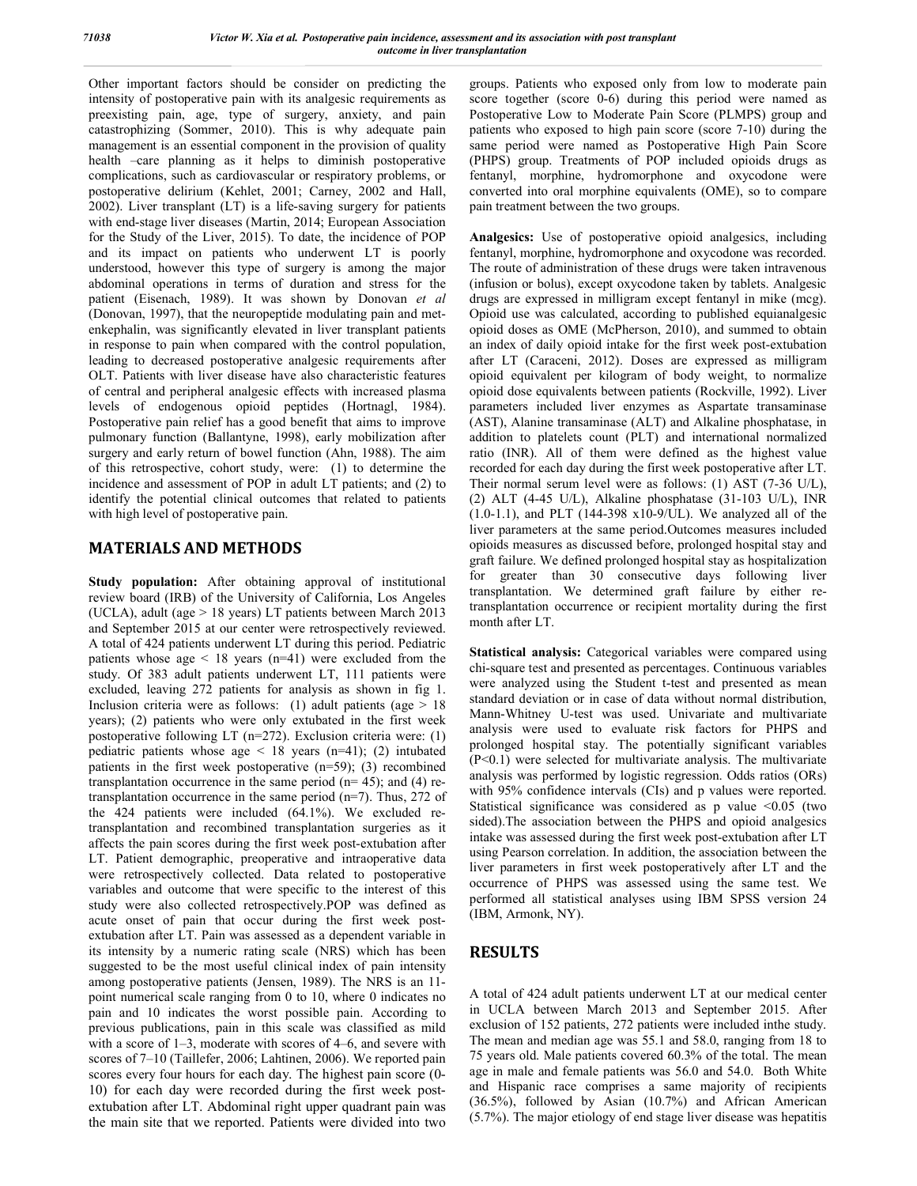Other important factors should be consider on predicting the intensity of postoperative pain with its analgesic requirements as preexisting pain, age, type of surgery, anxiety, and pain catastrophizing (Sommer, 2010). This is why adequate pain management is an essential component in the provision of quality health –care planning as it helps to diminish postoperative complications, such as cardiovascular or respiratory problems, or postoperative delirium (Kehlet, 2001; Carney, 2002 and Hall, 2002). Liver transplant (LT) is a life-saving surgery for patients with end-stage liver diseases (Martin, 2014; European Association for the Study of the Liver, 2015). To date, the incidence of POP and its impact on patients who underwent LT is poorly understood, however this type of surgery is among the major abdominal operations in terms of duration and stress for the patient (Eisenach, 1989). It was shown by Donovan *et al* (Donovan, 1997), that the neuropeptide modulating pain and metenkephalin, was significantly elevated in liver transplant patients in response to pain when compared with the control population, leading to decreased postoperative analgesic requirements after OLT. Patients with liver disease have also characteristic features of central and peripheral analgesic effects with increased plasma levels of endogenous opioid peptides (Hortnagl, 1984). Postoperative pain relief has a good benefit that aims to improve pulmonary function (Ballantyne, 1998), early mobilization after surgery and early return of bowel function (Ahn, 1988). The aim of this retrospective, cohort study, were: (1) to determine the incidence and assessment of POP in adult LT patients; and (2) to identify the potential clinical outcomes that related to patients with high level of postoperative pain.

# **MATERIALS AND METHODS**

**Study population:** After obtaining approval of institutional review board (IRB) of the University of California, Los Angeles (UCLA), adult (age  $> 18$  years) LT patients between March 2013 and September 2015 at our center were retrospectively reviewed. A total of 424 patients underwent LT during this period. Pediatric patients whose age  $\leq 18$  years (n=41) were excluded from the study. Of 383 adult patients underwent LT, 111 patients were excluded, leaving 272 patients for analysis as shown in fig 1. Inclusion criteria were as follows: (1) adult patients (age  $> 18$ years); (2) patients who were only extubated in the first week postoperative following LT (n=272). Exclusion criteria were: (1) pediatric patients whose age  $\leq$  18 years (n=41); (2) intubated patients in the first week postoperative (n=59); (3) recombined transplantation occurrence in the same period  $(n= 45)$ ; and  $(4)$  retransplantation occurrence in the same period (n=7). Thus, 272 of the 424 patients were included (64.1%). We excluded retransplantation and recombined transplantation surgeries as it affects the pain scores during the first week post-extubation after LT. Patient demographic, preoperative and intraoperative data were retrospectively collected. Data related to postoperative variables and outcome that were specific to the interest of this study were also collected retrospectively.POP was defined as acute onset of pain that occur during the first week postextubation after LT. Pain was assessed as a dependent variable in its intensity by a numeric rating scale (NRS) which has been suggested to be the most useful clinical index of pain intensity among postoperative patients (Jensen, 1989). The NRS is an 11 point numerical scale ranging from 0 to 10, where 0 indicates no pain and 10 indicates the worst possible pain. According to previous publications, pain in this scale was classified as mild with a score of 1–3, moderate with scores of 4–6, and severe with scores of 7–10 (Taillefer, 2006; Lahtinen, 2006). We reported pain scores every four hours for each day. The highest pain score (0- 10) for each day were recorded during the first week postextubation after LT. Abdominal right upper quadrant pain was the main site that we reported. Patients were divided into two

groups. Patients who exposed only from low to moderate pain score together (score 0-6) during this period were named as Postoperative Low to Moderate Pain Score (PLMPS) group and patients who exposed to high pain score (score 7-10) during the same period were named as Postoperative High Pain Score (PHPS) group. Treatments of POP included opioids drugs as fentanyl, morphine, hydromorphone and oxycodone were converted into oral morphine equivalents (OME), so to compare pain treatment between the two groups.

**Analgesics:** Use of postoperative opioid analgesics, including fentanyl, morphine, hydromorphone and oxycodone was recorded. The route of administration of these drugs were taken intravenous (infusion or bolus), except oxycodone taken by tablets. Analgesic drugs are expressed in milligram except fentanyl in mike (mcg). Opioid use was calculated, according to published equianalgesic opioid doses as OME (McPherson, 2010), and summed to obtain an index of daily opioid intake for the first week post-extubation after LT (Caraceni, 2012). Doses are expressed as milligram opioid equivalent per kilogram of body weight, to normalize opioid dose equivalents between patients (Rockville, 1992). Liver parameters included liver enzymes as Aspartate transaminase (AST), Alanine transaminase (ALT) and Alkaline phosphatase, in addition to platelets count (PLT) and international normalized ratio (INR). All of them were defined as the highest value recorded for each day during the first week postoperative after LT. Their normal serum level were as follows: (1) AST (7-36 U/L), (2) ALT (4-45 U/L), Alkaline phosphatase (31-103 U/L), INR (1.0-1.1), and PLT (144-398 x10-9/UL). We analyzed all of the liver parameters at the same period.Outcomes measures included opioids measures as discussed before, prolonged hospital stay and graft failure. We defined prolonged hospital stay as hospitalization for greater than 30 consecutive days following liver transplantation. We determined graft failure by either retransplantation occurrence or recipient mortality during the first month after LT.

**Statistical analysis:** Categorical variables were compared using chi-square test and presented as percentages. Continuous variables were analyzed using the Student t-test and presented as mean standard deviation or in case of data without normal distribution, Mann-Whitney U-test was used. Univariate and multivariate analysis were used to evaluate risk factors for PHPS and prolonged hospital stay. The potentially significant variables (P<0.1) were selected for multivariate analysis. The multivariate analysis was performed by logistic regression. Odds ratios (ORs) with 95% confidence intervals (CIs) and p values were reported. Statistical significance was considered as p value <0.05 (two sided).The association between the PHPS and opioid analgesics intake was assessed during the first week post-extubation after LT using Pearson correlation. In addition, the association between the liver parameters in first week postoperatively after LT and the occurrence of PHPS was assessed using the same test. We performed all statistical analyses using IBM SPSS version 24 (IBM, Armonk, NY).

# **RESULTS**

A total of 424 adult patients underwent LT at our medical center in UCLA between March 2013 and September 2015. After exclusion of 152 patients, 272 patients were included inthe study. The mean and median age was 55.1 and 58.0, ranging from 18 to 75 years old. Male patients covered 60.3% of the total. The mean age in male and female patients was 56.0 and 54.0. Both White and Hispanic race comprises a same majority of recipients (36.5%), followed by Asian (10.7%) and African American (5.7%). The major etiology of end stage liver disease was hepatitis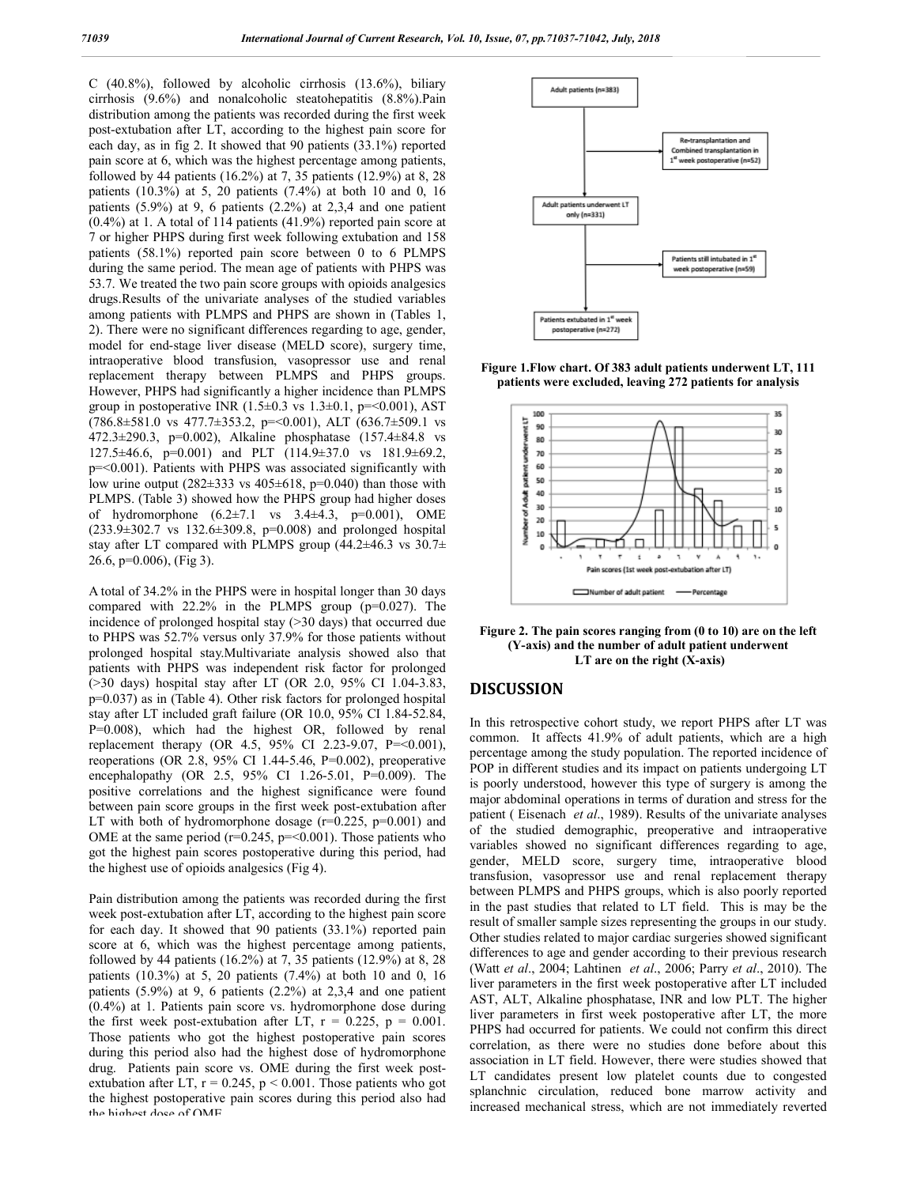C (40.8%), followed by alcoholic cirrhosis (13.6%), biliary cirrhosis (9.6%) and nonalcoholic steatohepatitis (8.8%).Pain distribution among the patients was recorded during the first week post-extubation after LT, according to the highest pain score for each day, as in fig 2. It showed that 90 patients (33.1%) reported pain score at 6, which was the highest percentage among patients, followed by 44 patients (16.2%) at 7, 35 patients (12.9%) at 8, 28 patients (10.3%) at 5, 20 patients (7.4%) at both 10 and 0, 16 patients (5.9%) at 9, 6 patients (2.2%) at 2,3,4 and one patient (0.4%) at 1. A total of 114 patients (41.9%) reported pain score at 7 or higher PHPS during first week following extubation and 158 patients (58.1%) reported pain score between 0 to 6 PLMPS during the same period. The mean age of patients with PHPS was 53.7. We treated the two pain score groups with opioids analgesics drugs.Results of the univariate analyses of the studied variables among patients with PLMPS and PHPS are shown in (Tables 1, 2). There were no significant differences regarding to age, gender, model for end-stage liver disease (MELD score), surgery time, intraoperative blood transfusion, vasopressor use and renal replacement therapy between PLMPS and PHPS groups. However, PHPS had significantly a higher incidence than PLMPS group in postoperative INR  $(1.5\pm0.3 \text{ vs } 1.3\pm0.1, \text{ p} = 0.001)$ , AST  $(786.8\pm581.0 \text{ vs } 477.7\pm353.2, \text{ p} = 0.001)$ , ALT  $(636.7\pm509.1 \text{ vs } 0.001)$ 472.3±290.3, p=0.002), Alkaline phosphatase (157.4±84.8 vs 127.5±46.6, p=0.001) and PLT (114.9±37.0 vs 181.9±69.2, p=<0.001). Patients with PHPS was associated significantly with low urine output ( $282\pm333$  vs  $405\pm618$ , p=0.040) than those with PLMPS. (Table 3) showed how the PHPS group had higher doses of hydromorphone  $(6.2 \pm 7.1 \text{ vs } 3.4 \pm 4.3, \text{ p=0.001}), \text{ OME}$  $(233.9\pm302.7 \text{ vs } 132.6\pm309.8, \text{ p=0.008})$  and prolonged hospital stay after LT compared with PLMPS group  $(44.2\pm46.3 \text{ vs } 30.7\pm\text{)}$ 26.6, p=0.006), (Fig 3).

A total of 34.2% in the PHPS were in hospital longer than 30 days compared with 22.2% in the PLMPS group (p=0.027). The incidence of prolonged hospital stay (>30 days) that occurred due to PHPS was 52.7% versus only 37.9% for those patients without prolonged hospital stay.Multivariate analysis showed also that patients with PHPS was independent risk factor for prolonged (>30 days) hospital stay after LT (OR 2.0, 95% CI 1.04-3.83, p=0.037) as in (Table 4). Other risk factors for prolonged hospital stay after LT included graft failure (OR 10.0, 95% CI 1.84-52.84, P=0.008), which had the highest OR, followed by renal replacement therapy (OR 4.5, 95% CI 2.23-9.07, P=<0.001), reoperations (OR 2.8, 95% CI 1.44-5.46, P=0.002), preoperative encephalopathy (OR 2.5, 95% CI 1.26-5.01, P=0.009). The positive correlations and the highest significance were found between pain score groups in the first week post-extubation after LT with both of hydromorphone dosage  $(r=0.225, p=0.001)$  and OME at the same period ( $r=0.245$ ,  $p=<0.001$ ). Those patients who got the highest pain scores postoperative during this period, had the highest use of opioids analgesics (Fig 4).

Pain distribution among the patients was recorded during the first week post-extubation after LT, according to the highest pain score for each day. It showed that 90 patients (33.1%) reported pain score at 6, which was the highest percentage among patients, followed by 44 patients (16.2%) at 7, 35 patients (12.9%) at 8, 28 patients (10.3%) at 5, 20 patients (7.4%) at both 10 and 0, 16 patients (5.9%) at 9, 6 patients (2.2%) at 2,3,4 and one patient (0.4%) at 1. Patients pain score vs. hydromorphone dose during the first week post-extubation after LT,  $r = 0.225$ ,  $p = 0.001$ . Those patients who got the highest postoperative pain scores during this period also had the highest dose of hydromorphone drug. Patients pain score vs. OME during the first week postextubation after LT,  $r = 0.245$ ,  $p < 0.001$ . Those patients who got the highest postoperative pain scores during this period also had the highest dose of OME.







**Figure 2. The pain scores ranging from (0 to 10) are on the left (Y-axis) and the number of adult patient underwent LT are on the right (X-axis)**

#### **DISCUSSION**

In this retrospective cohort study, we report PHPS after LT was common. It affects 41.9% of adult patients, which are a high percentage among the study population. The reported incidence of POP in different studies and its impact on patients undergoing LT is poorly understood, however this type of surgery is among the major abdominal operations in terms of duration and stress for the patient ( Eisenach *et al*., 1989). Results of the univariate analyses of the studied demographic, preoperative and intraoperative variables showed no significant differences regarding to age, gender, MELD score, surgery time, intraoperative blood transfusion, vasopressor use and renal replacement therapy between PLMPS and PHPS groups, which is also poorly reported in the past studies that related to LT field. This is may be the result of smaller sample sizes representing the groups in our study. Other studies related to major cardiac surgeries showed significant differences to age and gender according to their previous research (Watt *et al*., 2004; Lahtinen *et al*., 2006; Parry *et al*., 2010). The liver parameters in the first week postoperative after LT included AST, ALT, Alkaline phosphatase, INR and low PLT. The higher liver parameters in first week postoperative after LT, the more PHPS had occurred for patients. We could not confirm this direct correlation, as there were no studies done before about this association in LT field. However, there were studies showed that LT candidates present low platelet counts due to congested splanchnic circulation, reduced bone marrow activity and increased mechanical stress, which are not immediately reverted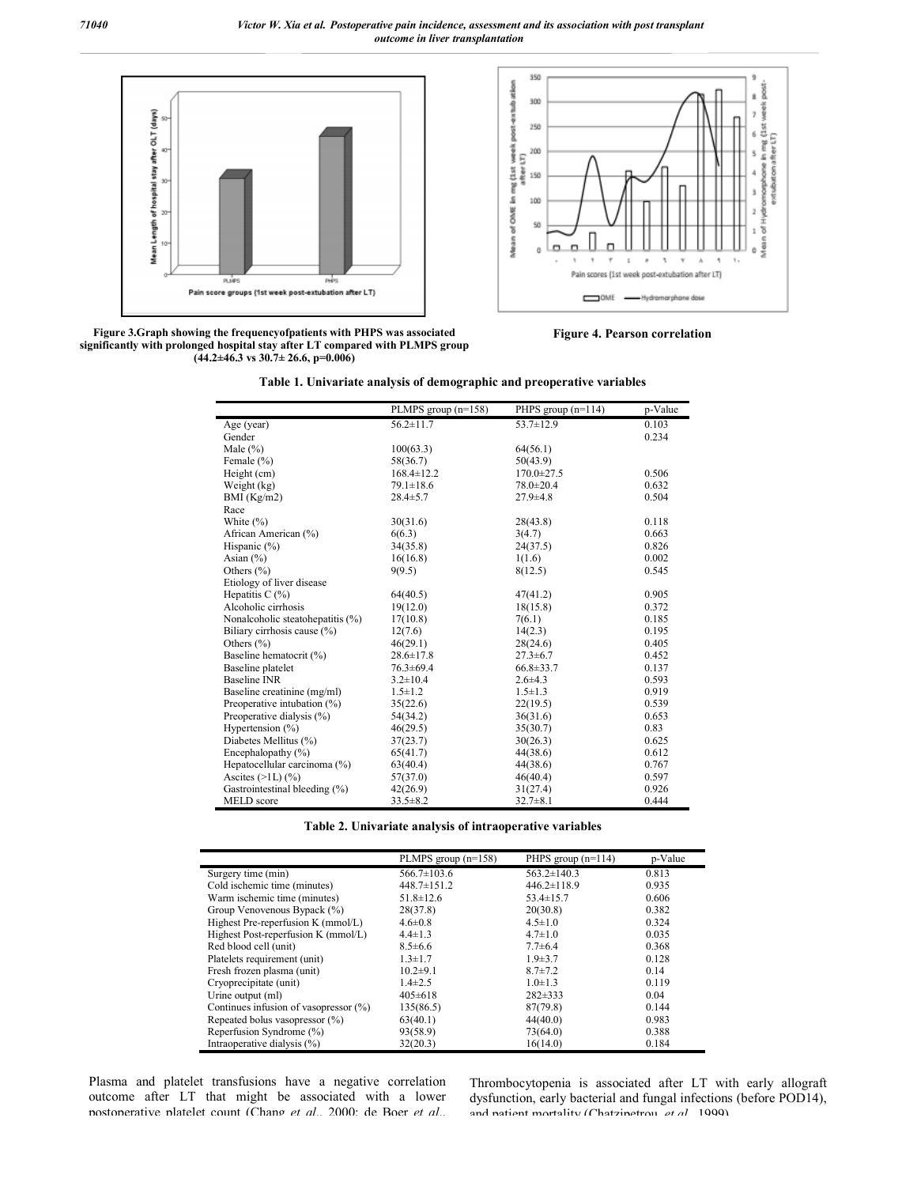



**Figure 3.Graph showing the frequencyofpatients with PHPS was associated significantly with prolonged hospital stay after LT compared with PLMPS group (44.2±46.3 vs 30.7± 26.6, p=0.006)**

 $\mathbf{r}$ 

×



|  | Table 1. Univariate analysis of demographic and preoperative variables |
|--|------------------------------------------------------------------------|
|  |                                                                        |

|                                  | PLMPS group $(n=158)$ | PHPS group $(n=114)$ | p-Value |
|----------------------------------|-----------------------|----------------------|---------|
| Age (year)                       | $56.2 \pm 11.7$       | $53.7 \pm 12.9$      | 0.103   |
| Gender                           |                       |                      | 0.234   |
| Male $(\% )$                     | 100(63.3)             | 64(56.1)             |         |
| Female (%)                       | 58(36.7)              | 50(43.9)             |         |
| Height (cm)                      | $168.4 \pm 12.2$      | $170.0 \pm 27.5$     | 0.506   |
| Weight (kg)                      | $79.1 \pm 18.6$       | $78.0 \pm 20.4$      | 0.632   |
| BMI $(Kg/m2)$                    | $28.4 \pm 5.7$        | $27.9 \pm 4.8$       | 0.504   |
| Race                             |                       |                      |         |
| White $(\% )$                    | 30(31.6)              | 28(43.8)             | 0.118   |
| African American (%)             | 6(6.3)                | 3(4.7)               | 0.663   |
| Hispanic (%)                     | 34(35.8)              | 24(37.5)             | 0.826   |
| Asian $(\% )$                    | 16(16.8)              | 1(1.6)               | 0.002   |
| Others $(\% )$                   | 9(9.5)                | 8(12.5)              | 0.545   |
| Etiology of liver disease        |                       |                      |         |
| Hepatitis C $(%)$                | 64(40.5)              | 47(41.2)             | 0.905   |
| Alcoholic cirrhosis              | 19(12.0)              | 18(15.8)             | 0.372   |
| Nonalcoholic steatohepatitis (%) | 17(10.8)              | 7(6.1)               | 0.185   |
| Biliary cirrhosis cause (%)      | 12(7.6)               | 14(2.3)              | 0.195   |
| Others $(\% )$                   | 46(29.1)              | 28(24.6)             | 0.405   |
| Baseline hematocrit (%)          | $28.6 \pm 17.8$       | $27.3 \pm 6.7$       | 0.452   |
| Baseline platelet                | $76.3 \pm 69.4$       | $66.8 \pm 33.7$      | 0.137   |
| <b>Baseline INR</b>              | $3.2 \pm 10.4$        | $2.6 + 4.3$          | 0.593   |
| Baseline creatinine (mg/ml)      | $1.5 \pm 1.2$         | $1.5 \pm 1.3$        | 0.919   |
| Preoperative intubation $(\%)$   | 35(22.6)              | 22(19.5)             | 0.539   |
| Preoperative dialysis (%)        | 54(34.2)              | 36(31.6)             | 0.653   |
| Hypertension $(\% )$             | 46(29.5)              | 35(30.7)             | 0.83    |
| Diabetes Mellitus (%)            | 37(23.7)              | 30(26.3)             | 0.625   |
| Encephalopathy (%)               | 65(41.7)              | 44(38.6)             | 0.612   |
| Hepatocellular carcinoma (%)     | 63(40.4)              | 44(38.6)             | 0.767   |
| Ascites $(>1L)$ $(\frac{9}{6})$  | 57(37.0)              | 46(40.4)             | 0.597   |
| Gastrointestinal bleeding (%)    | 42(26.9)              | 31(27.4)             | 0.926   |
| <b>MELD</b> score                | $33.5 \pm 8.2$        | $32.7 \pm 8.1$       | 0.444   |

**Table 2. Univariate analysis of intraoperative variables**

|                                          | PLMPS group $(n=158)$ | PHPS group $(n=114)$ | p-Value |
|------------------------------------------|-----------------------|----------------------|---------|
| Surgery time (min)                       | $566.7 \pm 103.6$     | $563.2 \pm 140.3$    | 0.813   |
| Cold ischemic time (minutes)             | $448.7 \pm 151.2$     | $446.2 \pm 118.9$    | 0.935   |
| Warm ischemic time (minutes)             | $51.8 \pm 12.6$       | $53.4 \pm 15.7$      | 0.606   |
| Group Venovenous Bypack (%)              | 28(37.8)              | 20(30.8)             | 0.382   |
| Highest Pre-reperfusion K (mmol/L)       | $4.6 \pm 0.8$         | $4.5 \pm 1.0$        | 0.324   |
| Highest Post-reperfusion K (mmol/L)      | $4.4 \pm 1.3$         | $4.7 \pm 1.0$        | 0.035   |
| Red blood cell (unit)                    | $8.5 \pm 6.6$         | $7.7 \pm 6.4$        | 0.368   |
| Platelets requirement (unit)             | $1.3 \pm 1.7$         | $1.9 \pm 3.7$        | 0.128   |
| Fresh frozen plasma (unit)               | $10.2 \pm 9.1$        | $8.7 \pm 7.2$        | 0.14    |
| Cryoprecipitate (unit)                   | $1.4\pm 2.5$          | $1.0 \pm 1.3$        | 0.119   |
| Urine output (ml)                        | $405 \pm 618$         | $282 \pm 333$        | 0.04    |
| Continues infusion of vasopressor $(\%)$ | 135(86.5)             | 87(79.8)             | 0.144   |
| Repeated bolus vasopressor (%)           | 63(40.1)              | 44(40.0)             | 0.983   |
| Reperfusion Syndrome (%)                 | 93(58.9)              | 73(64.0)             | 0.388   |
| Intraoperative dialysis (%)              | 32(20.3)              | 16(14.0)             | 0.184   |

Plasma and platelet transfusions have a negative correlation outcome after LT that might be associated with a lower postoperative platelet count (Chang *et al*., 2000; de Boer *et al*.,

Thrombocytopenia is associated after LT with early allograft dysfunction, early bacterial and fungal infections (before POD14), and patient mortality (Chatzipetrou *et al*., 1999).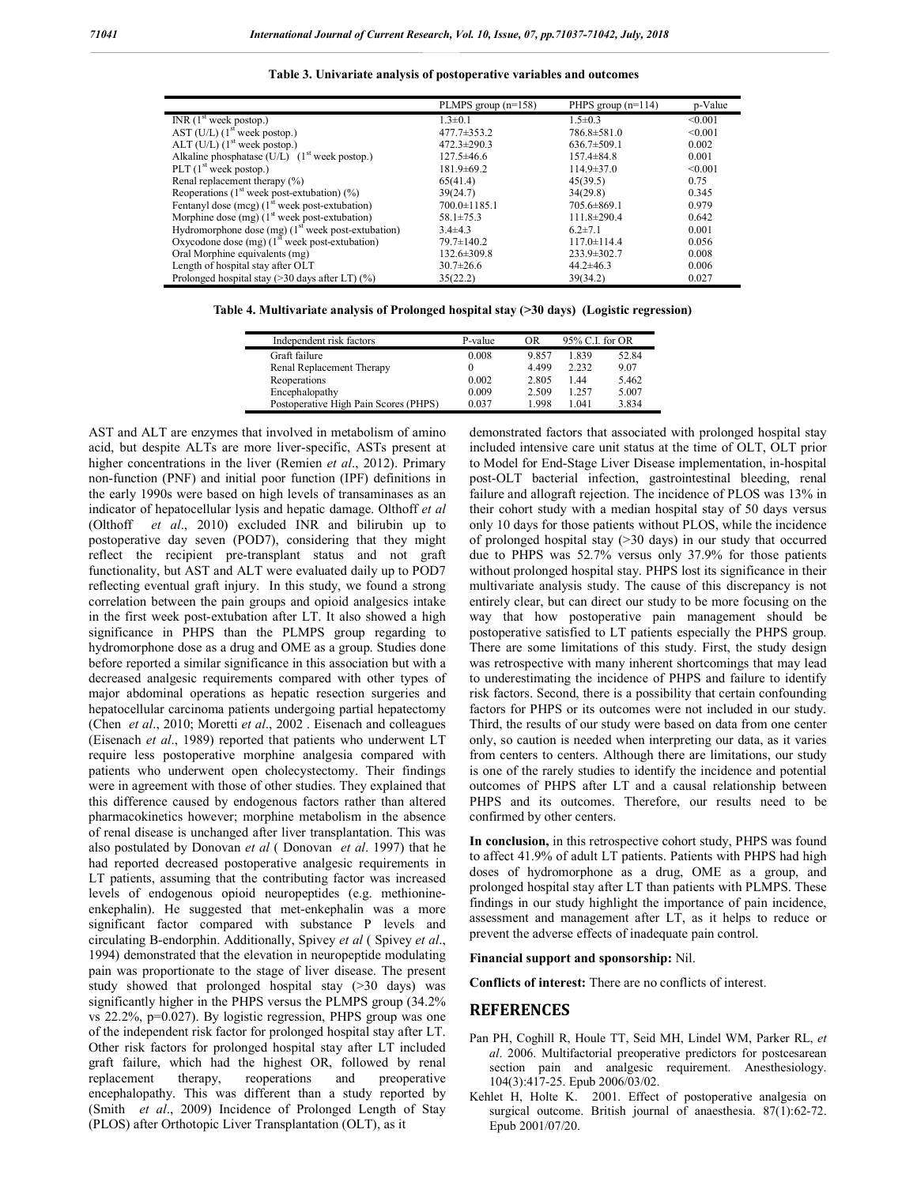|  |  |  | Table 3. Univariate analysis of postoperative variables and outcomes |  |  |
|--|--|--|----------------------------------------------------------------------|--|--|
|--|--|--|----------------------------------------------------------------------|--|--|

| p-Value<br>PHPS group $(n=114)$ |
|---------------------------------|
| < 0.001                         |
| < 0.001                         |
| 0.002                           |
| 0.001                           |
| < 0.001                         |
| 0.75                            |
| 0.345                           |
| 0.979                           |
| 0.642                           |
| 0.001                           |
| 0.056                           |
| 0.008                           |
| 0.006                           |
| 0.027                           |
|                                 |

**Table 4. Multivariate analysis of Prolonged hospital stay (>30 days) (Logistic regression)**

| Independent risk factors              | P-value | OR    | 95% C.I. for OR |       |
|---------------------------------------|---------|-------|-----------------|-------|
| Graft failure                         | 0.008   | 9.857 | 1.839           | 52.84 |
| Renal Replacement Therapy             |         | 4.499 | 2.232           | 9.07  |
| Reoperations                          | 0.002   | 2.805 | 144             | 5.462 |
| Encephalopathy                        | 0.009   | 2.509 | 1.257           | 5.007 |
| Postoperative High Pain Scores (PHPS) | 0.037   | 1.998 | 1.041           | 3.834 |

AST and ALT are enzymes that involved in metabolism of amino acid, but despite ALTs are more liver-specific, ASTs present at higher concentrations in the liver (Remien *et al*., 2012). Primary non-function (PNF) and initial poor function (IPF) definitions in the early 1990s were based on high levels of transaminases as an indicator of hepatocellular lysis and hepatic damage. Olthoff *et al* (Olthoff *et al*., 2010) excluded INR and bilirubin up to postoperative day seven (POD7), considering that they might reflect the recipient pre-transplant status and not graft functionality, but AST and ALT were evaluated daily up to POD7 reflecting eventual graft injury. In this study, we found a strong correlation between the pain groups and opioid analgesics intake in the first week post-extubation after LT. It also showed a high significance in PHPS than the PLMPS group regarding to hydromorphone dose as a drug and OME as a group. Studies done before reported a similar significance in this association but with a decreased analgesic requirements compared with other types of major abdominal operations as hepatic resection surgeries and hepatocellular carcinoma patients undergoing partial hepatectomy (Chen *et al*., 2010; Moretti *et al*., 2002 . Eisenach and colleagues (Eisenach *et al*., 1989) reported that patients who underwent LT require less postoperative morphine analgesia compared with patients who underwent open cholecystectomy. Their findings were in agreement with those of other studies. They explained that this difference caused by endogenous factors rather than altered pharmacokinetics however; morphine metabolism in the absence of renal disease is unchanged after liver transplantation. This was also postulated by Donovan *et al* ( Donovan *et al*. 1997) that he had reported decreased postoperative analgesic requirements in LT patients, assuming that the contributing factor was increased levels of endogenous opioid neuropeptides (e.g. methionineenkephalin). He suggested that met-enkephalin was a more significant factor compared with substance P levels and circulating B-endorphin. Additionally, Spivey *et al* ( Spivey *et al*., 1994) demonstrated that the elevation in neuropeptide modulating pain was proportionate to the stage of liver disease. The present study showed that prolonged hospital stay (>30 days) was significantly higher in the PHPS versus the PLMPS group (34.2% vs 22.2%, p=0.027). By logistic regression, PHPS group was one of the independent risk factor for prolonged hospital stay after LT. Other risk factors for prolonged hospital stay after LT included graft failure, which had the highest OR, followed by renal replacement therapy, reoperations and preoperative encephalopathy. This was different than a study reported by (Smith *et al*., 2009) Incidence of Prolonged Length of Stay (PLOS) after Orthotopic Liver Transplantation (OLT), as it

demonstrated factors that associated with prolonged hospital stay included intensive care unit status at the time of OLT, OLT prior to Model for End-Stage Liver Disease implementation, in-hospital post-OLT bacterial infection, gastrointestinal bleeding, renal failure and allograft rejection. The incidence of PLOS was 13% in their cohort study with a median hospital stay of 50 days versus only 10 days for those patients without PLOS, while the incidence of prolonged hospital stay  $($ >30 days) in our study that occurred due to PHPS was 52.7% versus only 37.9% for those patients without prolonged hospital stay. PHPS lost its significance in their multivariate analysis study. The cause of this discrepancy is not entirely clear, but can direct our study to be more focusing on the way that how postoperative pain management should be postoperative satisfied to LT patients especially the PHPS group. There are some limitations of this study. First, the study design was retrospective with many inherent shortcomings that may lead to underestimating the incidence of PHPS and failure to identify risk factors. Second, there is a possibility that certain confounding factors for PHPS or its outcomes were not included in our study. Third, the results of our study were based on data from one center only, so caution is needed when interpreting our data, as it varies from centers to centers. Although there are limitations, our study is one of the rarely studies to identify the incidence and potential outcomes of PHPS after LT and a causal relationship between PHPS and its outcomes. Therefore, our results need to be confirmed by other centers.

**In conclusion,** in this retrospective cohort study, PHPS was found to affect 41.9% of adult LT patients. Patients with PHPS had high doses of hydromorphone as a drug, OME as a group, and prolonged hospital stay after LT than patients with PLMPS. These findings in our study highlight the importance of pain incidence, assessment and management after LT, as it helps to reduce or prevent the adverse effects of inadequate pain control.

**Financial support and sponsorship:** Nil.

**Conflicts of interest:** There are no conflicts of interest.

#### **REFERENCES**

- Pan PH, Coghill R, Houle TT, Seid MH, Lindel WM, Parker RL, *et al*. 2006. Multifactorial preoperative predictors for postcesarean section pain and analgesic requirement. Anesthesiology. 104(3):417-25. Epub 2006/03/02.
- Kehlet H, Holte K. 2001. Effect of postoperative analgesia on surgical outcome. British journal of anaesthesia. 87(1):62-72. Epub 2001/07/20.